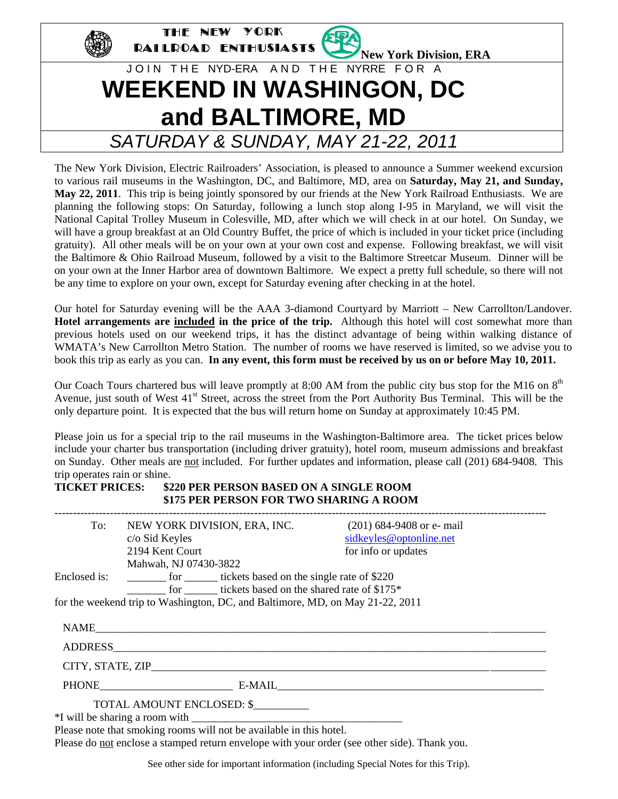

The New York Division, Electric Railroaders' Association, is pleased to announce a Summer weekend excursion to various rail museums in the Washington, DC, and Baltimore, MD, area on **Saturday, May 21, and Sunday, May 22, 2011**. This trip is being jointly sponsored by our friends at the New York Railroad Enthusiasts. We are planning the following stops: On Saturday, following a lunch stop along I-95 in Maryland, we will visit the National Capital Trolley Museum in Colesville, MD, after which we will check in at our hotel. On Sunday, we will have a group breakfast at an Old Country Buffet, the price of which is included in your ticket price (including gratuity). All other meals will be on your own at your own cost and expense. Following breakfast, we will visit the Baltimore & Ohio Railroad Museum, followed by a visit to the Baltimore Streetcar Museum. Dinner will be on your own at the Inner Harbor area of downtown Baltimore. We expect a pretty full schedule, so there will not be any time to explore on your own, except for Saturday evening after checking in at the hotel.

Our hotel for Saturday evening will be the AAA 3-diamond Courtyard by Marriott – New Carrollton/Landover. **Hotel arrangements are included in the price of the trip.** Although this hotel will cost somewhat more than previous hotels used on our weekend trips, it has the distinct advantage of being within walking distance of WMATA's New Carrollton Metro Station. The number of rooms we have reserved is limited, so we advise you to book this trip as early as you can. **In any event, this form must be received by us on or before May 10, 2011.** 

Our Coach Tours chartered bus will leave promptly at 8:00 AM from the public city bus stop for the M16 on 8<sup>th</sup> Avenue, just south of West 41<sup>st</sup> Street, across the street from the Port Authority Bus Terminal. This will be the only departure point. It is expected that the bus will return home on Sunday at approximately 10:45 PM.

Please join us for a special trip to the rail museums in the Washington-Baltimore area. The ticket prices below include your charter bus transportation (including driver gratuity), hotel room, museum admissions and breakfast on Sunday. Other meals are not included. For further updates and information, please call (201) 684-9408. This trip operates rain or shine.

# **TICKET PRICES: \$220 PER PERSON BASED ON A SINGLE ROOM \$175 PER PERSON FOR TWO SHARING A ROOM**

| To:          | NEW YORK DIVISION, ERA, INC.                                                  | $(201)$ 684-9408 or e- mail |  |
|--------------|-------------------------------------------------------------------------------|-----------------------------|--|
|              | c/o Sid Keyles                                                                | sidkeyles@optonline.net     |  |
|              | 2194 Kent Court                                                               | for info or updates         |  |
|              | Mahwah, NJ 07430-3822                                                         |                             |  |
| Enclosed is: | _________ for ________ tickets based on the single rate of \$220              |                             |  |
|              | for _______ tickets based on the shared rate of \$175*                        |                             |  |
|              | for the weekend trip to Washington, DC, and Baltimore, MD, on May 21-22, 2011 |                             |  |
|              |                                                                               |                             |  |
|              | NAME                                                                          |                             |  |
|              |                                                                               |                             |  |
|              |                                                                               |                             |  |
|              | PHONE E-MAIL E-MAIL E-MAIL E-MAIL                                             |                             |  |
|              | TOTAL AMOUNT ENCLOSED: \$                                                     |                             |  |
|              |                                                                               |                             |  |
|              | Dhaaaa wata that amalshaa waama siill wat ha asiallahila in thia hatal        |                             |  |

Please note that smoking rooms will not be available in this hotel. Please do not enclose a stamped return envelope with your order (see other side). Thank you.

See other side for important information (including Special Notes for this Trip).